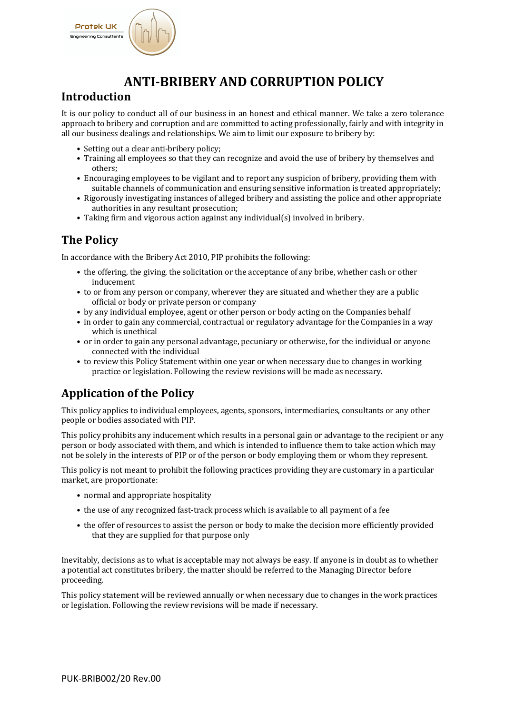

# **ANTI-BRIBERY AND CORRUPTION POLICY**

#### **Introduction**

It is our policy to conduct all of our business in an honest and ethical manner. We take a zero tolerance approach to bribery and corruption and are committed to acting professionally, fairly and with integrity in all our business dealings and relationships. We aim to limit our exposure to bribery by:

- Setting out a clear anti-bribery policy;
- Training all employees so that they can recognize and avoid the use of bribery by themselves and others;
- Encouraging employees to be vigilant and to report any suspicion of bribery, providing them with suitable channels of communication and ensuring sensitive information is treated appropriately;
- Rigorously investigating instances of alleged bribery and assisting the police and other appropriate authorities in any resultant prosecution;
- Taking firm and vigorous action against any individual(s) involved in bribery.

### **The Policy**

In accordance with the Bribery Act 2010, PIP prohibits the following:

- the offering, the giving, the solicitation or the acceptance of any bribe, whether cash or other inducement
- to or from any person or company, wherever they are situated and whether they are a public official or body or private person or company
- by any individual employee, agent or other person or body acting on the Companies behalf
- in order to gain any commercial, contractual or regulatory advantage for the Companies in a way which is unethical
- or in order to gain any personal advantage, pecuniary or otherwise, for the individual or anyone connected with the individual
- to review this Policy Statement within one year or when necessary due to changes in working practice or legislation. Following the review revisions will be made as necessary.

## **Application of the Policy**

This policy applies to individual employees, agents, sponsors, intermediaries, consultants or any other people or bodies associated with PIP.

This policy prohibits any inducement which results in a personal gain or advantage to the recipient or any person or body associated with them, and which is intended to influence them to take action which may not be solely in the interests of PIP or of the person or body employing them or whom they represent.

This policy is not meant to prohibit the following practices providing they are customary in a particular market, are proportionate:

- normal and appropriate hospitality
- the use of any recognized fast-track process which is available to all payment of a fee
- the offer of resources to assist the person or body to make the decision more efficiently provided that they are supplied for that purpose only

Inevitably, decisions as to what is acceptable may not always be easy. If anyone is in doubt as to whether a potential act constitutes bribery, the matter should be referred to the Managing Director before proceeding. 

This policy statement will be reviewed annually or when necessary due to changes in the work practices or legislation. Following the review revisions will be made if necessary.